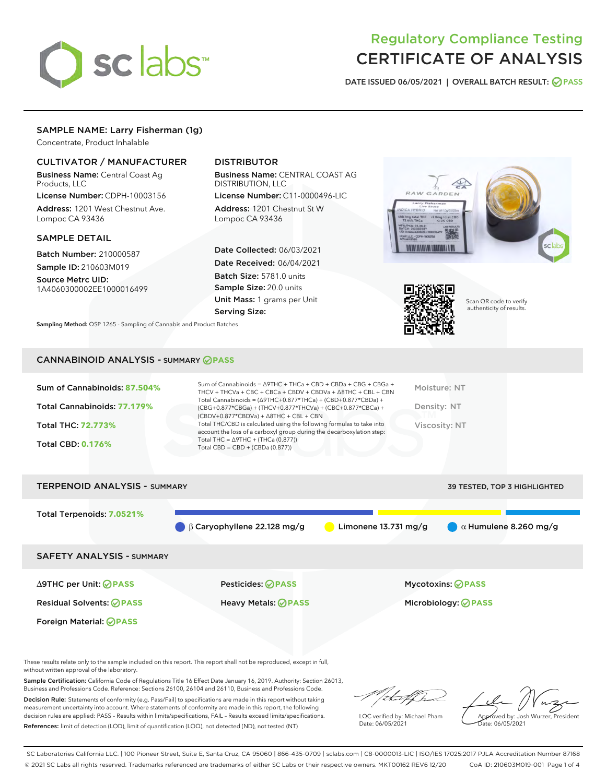

# Regulatory Compliance Testing CERTIFICATE OF ANALYSIS

DATE ISSUED 06/05/2021 | OVERALL BATCH RESULT: @ PASS

# SAMPLE NAME: Larry Fisherman (1g)

Concentrate, Product Inhalable

# CULTIVATOR / MANUFACTURER

Business Name: Central Coast Ag Products, LLC

License Number: CDPH-10003156 Address: 1201 West Chestnut Ave. Lompoc CA 93436

#### SAMPLE DETAIL

Batch Number: 210000587 Sample ID: 210603M019

Source Metrc UID: 1A4060300002EE1000016499

# DISTRIBUTOR

Business Name: CENTRAL COAST AG DISTRIBUTION, LLC

License Number: C11-0000496-LIC Address: 1201 Chestnut St W Lompoc CA 93436

Date Collected: 06/03/2021 Date Received: 06/04/2021 Batch Size: 5781.0 units Sample Size: 20.0 units Unit Mass: 1 grams per Unit Serving Size:

Sampling Method: QSP 1265 - Sampling of Cannabis and Product Batches

# RAW GARDEN



Scan QR code to verify authenticity of results.

### CANNABINOID ANALYSIS - SUMMARY **PASS**

| Sum of Cannabinoids: 87.504%<br>Total Cannabinoids: 77.179%<br>Total THC: 72.773%<br><b>Total CBD: 0.176%</b> | Sum of Cannabinoids = $\triangle$ 9THC + THCa + CBD + CBDa + CBG + CBGa +<br>THCV + THCVa + CBC + CBCa + CBDV + CBDVa + $\Delta$ 8THC + CBL + CBN<br>Total Cannabinoids = $(\Delta$ 9THC+0.877*THCa) + (CBD+0.877*CBDa) +<br>(CBG+0.877*CBGa) + (THCV+0.877*THCVa) + (CBC+0.877*CBCa) +<br>$(CBDV+0.877*CBDVa) + \Delta 8THC + CBL + CBN$<br>Total THC/CBD is calculated using the following formulas to take into<br>account the loss of a carboxyl group during the decarboxylation step:<br>Total THC = $\triangle$ 9THC + (THCa (0.877))<br>Total CBD = $CBD + (CBDa (0.877))$ | Moisture: NT<br>Density: NT<br>Viscosity: NT |
|---------------------------------------------------------------------------------------------------------------|------------------------------------------------------------------------------------------------------------------------------------------------------------------------------------------------------------------------------------------------------------------------------------------------------------------------------------------------------------------------------------------------------------------------------------------------------------------------------------------------------------------------------------------------------------------------------------|----------------------------------------------|
| <b>TERPENOID ANALYSIS - SUMMARY</b>                                                                           |                                                                                                                                                                                                                                                                                                                                                                                                                                                                                                                                                                                    | 39 TESTED, TOP 3 HIGHLIGHTED                 |

Total Terpenoids: **7.0521%** β Caryophyllene 22.128 mg/g Limonene 13.731 mg/g α Humulene 8.260 mg/g SAFETY ANALYSIS - SUMMARY ∆9THC per Unit: **PASS** Pesticides: **PASS** Mycotoxins: **PASS** Residual Solvents: **PASS** Heavy Metals: **PASS** Microbiology: **PASS**

Foreign Material: **PASS**

These results relate only to the sample included on this report. This report shall not be reproduced, except in full, without written approval of the laboratory.

Sample Certification: California Code of Regulations Title 16 Effect Date January 16, 2019. Authority: Section 26013, Business and Professions Code. Reference: Sections 26100, 26104 and 26110, Business and Professions Code.

Decision Rule: Statements of conformity (e.g. Pass/Fail) to specifications are made in this report without taking measurement uncertainty into account. Where statements of conformity are made in this report, the following decision rules are applied: PASS – Results within limits/specifications, FAIL – Results exceed limits/specifications. References: limit of detection (LOD), limit of quantification (LOQ), not detected (ND), not tested (NT)

that fCh

LQC verified by: Michael Pham Date: 06/05/2021

Approved by: Josh Wurzer, President ate: 06/05/2021

SC Laboratories California LLC. | 100 Pioneer Street, Suite E, Santa Cruz, CA 95060 | 866-435-0709 | sclabs.com | C8-0000013-LIC | ISO/IES 17025:2017 PJLA Accreditation Number 87168 © 2021 SC Labs all rights reserved. Trademarks referenced are trademarks of either SC Labs or their respective owners. MKT00162 REV6 12/20 CoA ID: 210603M019-001 Page 1 of 4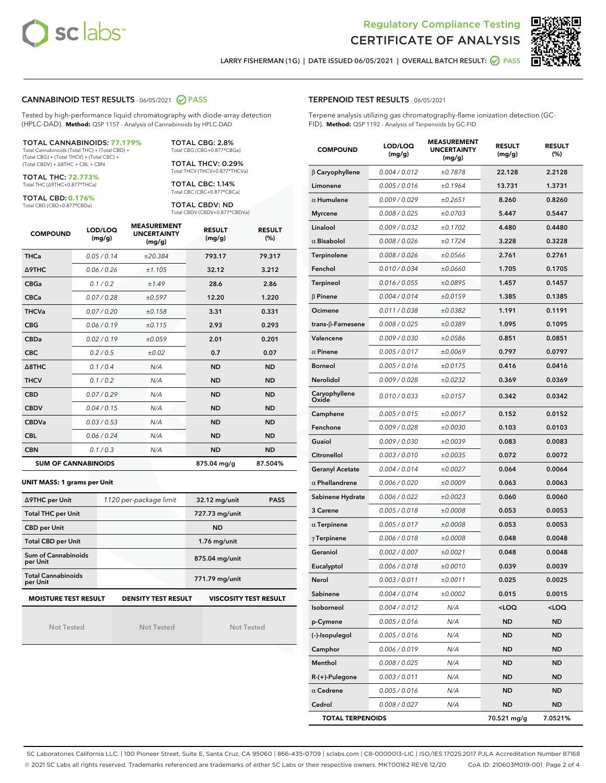



LARRY FISHERMAN (1G) | DATE ISSUED 06/05/2021 | OVERALL BATCH RESULT: O PASS

#### CANNABINOID TEST RESULTS - 06/05/2021 2 PASS

Tested by high-performance liquid chromatography with diode-array detection (HPLC-DAD). **Method:** QSP 1157 - Analysis of Cannabinoids by HPLC-DAD

#### TOTAL CANNABINOIDS: **77.179%**

Total Cannabinoids (Total THC) + (Total CBD) + (Total CBG) + (Total THCV) + (Total CBC) + (Total CBDV) + ∆8THC + CBL + CBN

TOTAL THC: **72.773%** Total THC (∆9THC+0.877\*THCa)

TOTAL CBD: **0.176%**

Total CBD (CBD+0.877\*CBDa)

TOTAL CBG: 2.8% Total CBG (CBG+0.877\*CBGa)

TOTAL THCV: 0.29% Total THCV (THCV+0.877\*THCVa)

TOTAL CBC: 1.14% Total CBC (CBC+0.877\*CBCa)

TOTAL CBDV: ND Total CBDV (CBDV+0.877\*CBDVa)

| <b>COMPOUND</b> | LOD/LOQ<br>(mg/g)          | <b>MEASUREMENT</b><br><b>UNCERTAINTY</b><br>(mg/g) | <b>RESULT</b><br>(mg/g) | <b>RESULT</b><br>(%) |
|-----------------|----------------------------|----------------------------------------------------|-------------------------|----------------------|
| <b>THCa</b>     | 0.05/0.14                  | ±20.384                                            | 793.17                  | 79.317               |
| <b>A9THC</b>    | 0.06 / 0.26                | ±1.105                                             | 32.12                   | 3.212                |
| <b>CBGa</b>     | 0.1 / 0.2                  | ±1.49                                              | 28.6                    | 2.86                 |
| <b>CBCa</b>     | 0.07/0.28                  | ±0.597                                             | 12.20                   | 1.220                |
| <b>THCVa</b>    | 0.07 / 0.20                | ±0.158                                             | 3.31                    | 0.331                |
| <b>CBG</b>      | 0.06/0.19                  | ±0.115                                             | 2.93                    | 0.293                |
| <b>CBDa</b>     | 0.02/0.19                  | ±0.059                                             | 2.01                    | 0.201                |
| <b>CBC</b>      | 0.2 / 0.5                  | ±0.02                                              | 0.7                     | 0.07                 |
| A8THC           | 0.1 / 0.4                  | N/A                                                | <b>ND</b>               | <b>ND</b>            |
| <b>THCV</b>     | 0.1/0.2                    | N/A                                                | <b>ND</b>               | <b>ND</b>            |
| <b>CBD</b>      | 0.07/0.29                  | N/A                                                | <b>ND</b>               | <b>ND</b>            |
| <b>CBDV</b>     | 0.04 / 0.15                | N/A                                                | <b>ND</b>               | <b>ND</b>            |
| <b>CBDVa</b>    | 0.03/0.53                  | N/A                                                | <b>ND</b>               | <b>ND</b>            |
| <b>CBL</b>      | 0.06 / 0.24                | N/A                                                | <b>ND</b>               | <b>ND</b>            |
| <b>CBN</b>      | 0.1/0.3                    | N/A                                                | <b>ND</b>               | <b>ND</b>            |
|                 | <b>SUM OF CANNABINOIDS</b> |                                                    | 875.04 mg/g             | 87.504%              |

#### **UNIT MASS: 1 grams per Unit**

| ∆9THC per Unit                        | 1120 per-package limit | 32.12 mg/unit<br><b>PASS</b> |
|---------------------------------------|------------------------|------------------------------|
| <b>Total THC per Unit</b>             |                        | 727.73 mg/unit               |
| <b>CBD per Unit</b>                   |                        | <b>ND</b>                    |
| <b>Total CBD per Unit</b>             |                        | $1.76$ mg/unit               |
| Sum of Cannabinoids<br>per Unit       |                        | 875.04 mg/unit               |
| <b>Total Cannabinoids</b><br>per Unit |                        | 771.79 mg/unit               |
| <b>MOISTURE TEST RESULT</b>           | DENSITY TEST RESULT    | <b>VISCOSITY TEST RESULT</b> |

Not Tested

Not Tested

Not Tested

#### TERPENOID TEST RESULTS - 06/05/2021

Terpene analysis utilizing gas chromatography-flame ionization detection (GC-FID). **Method:** QSP 1192 - Analysis of Terpenoids by GC-FID

| <b>COMPOUND</b>           | LOD/LOQ<br>(mg/g) | <b>MEASUREMENT</b><br><b>UNCERTAINTY</b><br>(mg/g) | <b>RESULT</b><br>(mg/g)                         | <b>RESULT</b><br>$(\%)$ |
|---------------------------|-------------------|----------------------------------------------------|-------------------------------------------------|-------------------------|
| $\beta$ Caryophyllene     | 0.004 / 0.012     | ±0.7878                                            | 22.128                                          | 2.2128                  |
| Limonene                  | 0.005 / 0.016     | ±0.1964                                            | 13.731                                          | 1.3731                  |
| $\alpha$ Humulene         | 0.009/0.029       | ±0.2651                                            | 8.260                                           | 0.8260                  |
| <b>Myrcene</b>            | 0.008 / 0.025     | ±0.0703                                            | 5.447                                           | 0.5447                  |
| Linalool                  | 0.009 / 0.032     | ±0.1702                                            | 4.480                                           | 0.4480                  |
| $\alpha$ Bisabolol        | 0.008 / 0.026     | ±0.1724                                            | 3.228                                           | 0.3228                  |
| Terpinolene               | 0.008 / 0.026     | ±0.0566                                            | 2.761                                           | 0.2761                  |
| Fenchol                   | 0.010 / 0.034     | ±0.0660                                            | 1.705                                           | 0.1705                  |
| Terpineol                 | 0.016 / 0.055     | ±0.0895                                            | 1.457                                           | 0.1457                  |
| $\beta$ Pinene            | 0.004 / 0.014     | ±0.0159                                            | 1.385                                           | 0.1385                  |
| Ocimene                   | 0.011 / 0.038     | ±0.0382                                            | 1.191                                           | 0.1191                  |
| trans- $\beta$ -Farnesene | 0.008 / 0.025     | ±0.0389                                            | 1.095                                           | 0.1095                  |
| Valencene                 | 0.009 / 0.030     | ±0.0586                                            | 0.851                                           | 0.0851                  |
| $\alpha$ Pinene           | 0.005 / 0.017     | ±0.0069                                            | 0.797                                           | 0.0797                  |
| <b>Borneol</b>            | 0.005 / 0.016     | ±0.0175                                            | 0.416                                           | 0.0416                  |
| Nerolidol                 | 0.009 / 0.028     | ±0.0232                                            | 0.369                                           | 0.0369                  |
| Caryophyllene<br>Oxide    | 0.010 / 0.033     | ±0.0157                                            | 0.342                                           | 0.0342                  |
| Camphene                  | 0.005 / 0.015     | ±0.0017                                            | 0.152                                           | 0.0152                  |
| Fenchone                  | 0.009 / 0.028     | ±0.0030                                            | 0.103                                           | 0.0103                  |
| Guaiol                    | 0.009 / 0.030     | ±0.0039                                            | 0.083                                           | 0.0083                  |
| Citronellol               | 0.003 / 0.010     | ±0.0035                                            | 0.072                                           | 0.0072                  |
| <b>Geranyl Acetate</b>    | 0.004 / 0.014     | ±0.0027                                            | 0.064                                           | 0.0064                  |
| $\alpha$ Phellandrene     | 0.006 / 0.020     | ±0.0009                                            | 0.063                                           | 0.0063                  |
| Sabinene Hydrate          | 0.006 / 0.022     | ±0.0023                                            | 0.060                                           | 0.0060                  |
| 3 Carene                  | 0.005 / 0.018     | ±0.0008                                            | 0.053                                           | 0.0053                  |
| $\alpha$ Terpinene        | 0.005 / 0.017     | ±0.0008                                            | 0.053                                           | 0.0053                  |
| $\gamma$ Terpinene        | 0.006 / 0.018     | ±0.0008                                            | 0.048                                           | 0.0048                  |
| Geraniol                  | 0.002 / 0.007     | ±0.0021                                            | 0.048                                           | 0.0048                  |
| Eucalyptol                | 0.006 / 0.018     | ±0.0010                                            | 0.039                                           | 0.0039                  |
| Nerol                     | 0.003 / 0.011     | ±0.0011                                            | 0.025                                           | 0.0025                  |
| Sabinene                  | 0.004 / 0.014     | ±0.0002                                            | 0.015                                           | 0.0015                  |
| Isoborneol                | 0.004 / 0.012     | N/A                                                | <loq< th=""><th><loq< th=""></loq<></th></loq<> | <loq< th=""></loq<>     |
| p-Cymene                  | 0.005 / 0.016     | N/A                                                | ND                                              | ND                      |
| (-)-Isopulegol            | 0.005 / 0.016     | N/A                                                | ND                                              | <b>ND</b>               |
| Camphor                   | 0.006 / 0.019     | N/A                                                | ND                                              | ND                      |
| Menthol                   | 0.008 / 0.025     | N/A                                                | ND                                              | ND                      |
| R-(+)-Pulegone            | 0.003 / 0.011     | N/A                                                | ND                                              | <b>ND</b>               |
| $\alpha$ Cedrene          | 0.005 / 0.016     | N/A                                                | ND                                              | ND                      |
| Cedrol                    | 0.008 / 0.027     | N/A                                                | ND                                              | <b>ND</b>               |
| <b>TOTAL TERPENOIDS</b>   |                   |                                                    | 70.521 mg/g                                     | 7.0521%                 |

SC Laboratories California LLC. | 100 Pioneer Street, Suite E, Santa Cruz, CA 95060 | 866-435-0709 | sclabs.com | C8-0000013-LIC | ISO/IES 17025:2017 PJLA Accreditation Number 87168 © 2021 SC Labs all rights reserved. Trademarks referenced are trademarks of either SC Labs or their respective owners. MKT00162 REV6 12/20 CoA ID: 210603M019-001 Page 2 of 4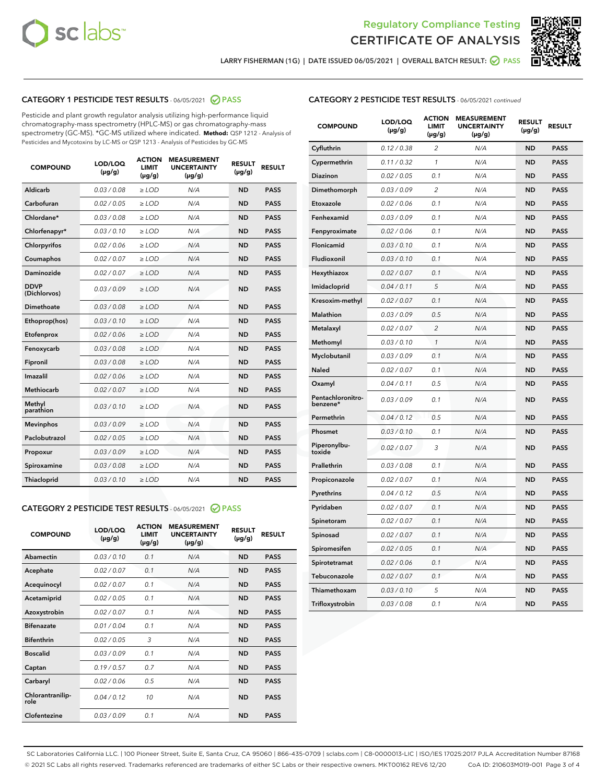



LARRY FISHERMAN (1G) | DATE ISSUED 06/05/2021 | OVERALL BATCH RESULT: @ PASS

# CATEGORY 1 PESTICIDE TEST RESULTS - 06/05/2021 2 PASS

Pesticide and plant growth regulator analysis utilizing high-performance liquid chromatography-mass spectrometry (HPLC-MS) or gas chromatography-mass spectrometry (GC-MS). \*GC-MS utilized where indicated. **Method:** QSP 1212 - Analysis of Pesticides and Mycotoxins by LC-MS or QSP 1213 - Analysis of Pesticides by GC-MS

| <b>COMPOUND</b>             | LOD/LOQ<br>$(\mu g/g)$ | <b>ACTION</b><br><b>LIMIT</b><br>$(\mu g/g)$ | <b>MEASUREMENT</b><br><b>UNCERTAINTY</b><br>$(\mu g/g)$ | <b>RESULT</b><br>$(\mu g/g)$ | <b>RESULT</b> |
|-----------------------------|------------------------|----------------------------------------------|---------------------------------------------------------|------------------------------|---------------|
| Aldicarb                    | 0.03/0.08              | $>$ LOD                                      | N/A                                                     | <b>ND</b>                    | <b>PASS</b>   |
| Carbofuran                  | 0.02 / 0.05            | $\ge$ LOD                                    | N/A                                                     | <b>ND</b>                    | <b>PASS</b>   |
| Chlordane*                  | 0.03/0.08              | $>$ LOD                                      | N/A                                                     | <b>ND</b>                    | <b>PASS</b>   |
| Chlorfenapyr*               | 0.03 / 0.10            | $\ge$ LOD                                    | N/A                                                     | <b>ND</b>                    | <b>PASS</b>   |
| Chlorpyrifos                | 0.02 / 0.06            | $\ge$ LOD                                    | N/A                                                     | <b>ND</b>                    | <b>PASS</b>   |
| Coumaphos                   | 0.02 / 0.07            | $\ge$ LOD                                    | N/A                                                     | <b>ND</b>                    | <b>PASS</b>   |
| Daminozide                  | 0.02 / 0.07            | $\ge$ LOD                                    | N/A                                                     | <b>ND</b>                    | <b>PASS</b>   |
| <b>DDVP</b><br>(Dichlorvos) | 0.03/0.09              | $\ge$ LOD                                    | N/A                                                     | <b>ND</b>                    | <b>PASS</b>   |
| <b>Dimethoate</b>           | 0.03/0.08              | $\ge$ LOD                                    | N/A                                                     | <b>ND</b>                    | <b>PASS</b>   |
| Ethoprop(hos)               | 0.03/0.10              | $\ge$ LOD                                    | N/A                                                     | <b>ND</b>                    | <b>PASS</b>   |
| Etofenprox                  | 0.02 / 0.06            | $\ge$ LOD                                    | N/A                                                     | <b>ND</b>                    | <b>PASS</b>   |
| Fenoxycarb                  | 0.03 / 0.08            | $\ge$ LOD                                    | N/A                                                     | <b>ND</b>                    | <b>PASS</b>   |
| Fipronil                    | 0.03/0.08              | $>$ LOD                                      | N/A                                                     | <b>ND</b>                    | <b>PASS</b>   |
| Imazalil                    | 0.02 / 0.06            | $\ge$ LOD                                    | N/A                                                     | <b>ND</b>                    | <b>PASS</b>   |
| Methiocarb                  | 0.02 / 0.07            | $\ge$ LOD                                    | N/A                                                     | <b>ND</b>                    | <b>PASS</b>   |
| Methyl<br>parathion         | 0.03/0.10              | $\ge$ LOD                                    | N/A                                                     | <b>ND</b>                    | <b>PASS</b>   |
| <b>Mevinphos</b>            | 0.03/0.09              | $\ge$ LOD                                    | N/A                                                     | <b>ND</b>                    | <b>PASS</b>   |
| Paclobutrazol               | 0.02 / 0.05            | $>$ LOD                                      | N/A                                                     | <b>ND</b>                    | <b>PASS</b>   |
| Propoxur                    | 0.03/0.09              | $\ge$ LOD                                    | N/A                                                     | <b>ND</b>                    | <b>PASS</b>   |
| Spiroxamine                 | 0.03 / 0.08            | $\ge$ LOD                                    | N/A                                                     | <b>ND</b>                    | <b>PASS</b>   |
| Thiacloprid                 | 0.03/0.10              | $\ge$ LOD                                    | N/A                                                     | <b>ND</b>                    | <b>PASS</b>   |
|                             |                        |                                              |                                                         |                              |               |

#### CATEGORY 2 PESTICIDE TEST RESULTS - 06/05/2021 @ PASS

| <b>COMPOUND</b>          | LOD/LOO<br>$(\mu g/g)$ | <b>ACTION</b><br>LIMIT<br>$(\mu g/g)$ | <b>MEASUREMENT</b><br><b>UNCERTAINTY</b><br>$(\mu g/g)$ | <b>RESULT</b><br>$(\mu g/g)$ | <b>RESULT</b> |  |
|--------------------------|------------------------|---------------------------------------|---------------------------------------------------------|------------------------------|---------------|--|
| Abamectin                | 0.03/0.10              | 0.1                                   | N/A                                                     | <b>ND</b>                    | <b>PASS</b>   |  |
| Acephate                 | 0.02/0.07              | 0.1                                   | N/A                                                     | <b>ND</b>                    | <b>PASS</b>   |  |
| Acequinocyl              | 0.02/0.07              | 0.1                                   | N/A                                                     | <b>ND</b>                    | <b>PASS</b>   |  |
| Acetamiprid              | 0.02 / 0.05            | 0.1                                   | N/A                                                     | <b>ND</b>                    | <b>PASS</b>   |  |
| Azoxystrobin             | 0.02/0.07              | 0.1                                   | N/A                                                     | <b>ND</b>                    | <b>PASS</b>   |  |
| <b>Bifenazate</b>        | 0.01 / 0.04            | 0.1                                   | N/A                                                     | <b>ND</b>                    | <b>PASS</b>   |  |
| <b>Bifenthrin</b>        | 0.02 / 0.05            | 3                                     | N/A                                                     | <b>ND</b>                    | <b>PASS</b>   |  |
| <b>Boscalid</b>          | 0.03/0.09              | 0.1                                   | N/A                                                     | <b>ND</b>                    | <b>PASS</b>   |  |
| Captan                   | 0.19/0.57              | 0.7                                   | N/A                                                     | <b>ND</b>                    | <b>PASS</b>   |  |
| Carbaryl                 | 0.02/0.06              | 0.5                                   | N/A                                                     | <b>ND</b>                    | <b>PASS</b>   |  |
| Chlorantranilip-<br>role | 0.04/0.12              | 10                                    | N/A                                                     | <b>ND</b>                    | <b>PASS</b>   |  |
| Clofentezine             | 0.03/0.09              | 0.1                                   | N/A                                                     | <b>ND</b>                    | <b>PASS</b>   |  |

| <b>CATEGORY 2 PESTICIDE TEST RESULTS</b> - 06/05/2021 continued |
|-----------------------------------------------------------------|
|-----------------------------------------------------------------|

| <b>COMPOUND</b>               | LOD/LOQ<br>$(\mu g/g)$ | <b>ACTION</b><br>LIMIT<br>$(\mu g/g)$ | <b>MEASUREMENT</b><br><b>UNCERTAINTY</b><br>$(\mu g/g)$ | <b>RESULT</b><br>(µg/g) | <b>RESULT</b> |
|-------------------------------|------------------------|---------------------------------------|---------------------------------------------------------|-------------------------|---------------|
| Cyfluthrin                    | 0.12 / 0.38            | 2                                     | N/A                                                     | <b>ND</b>               | <b>PASS</b>   |
| Cypermethrin                  | 0.11 / 0.32            | 1                                     | N/A                                                     | <b>ND</b>               | <b>PASS</b>   |
| <b>Diazinon</b>               | 0.02 / 0.05            | 0.1                                   | N/A                                                     | ND                      | <b>PASS</b>   |
| Dimethomorph                  | 0.03 / 0.09            | 2                                     | N/A                                                     | <b>ND</b>               | <b>PASS</b>   |
| Etoxazole                     | 0.02 / 0.06            | 0.1                                   | N/A                                                     | ND                      | <b>PASS</b>   |
| Fenhexamid                    | 0.03 / 0.09            | 0.1                                   | N/A                                                     | ND                      | <b>PASS</b>   |
| Fenpyroximate                 | 0.02 / 0.06            | 0.1                                   | N/A                                                     | <b>ND</b>               | <b>PASS</b>   |
| Flonicamid                    | 0.03 / 0.10            | 0.1                                   | N/A                                                     | ND                      | <b>PASS</b>   |
| Fludioxonil                   | 0.03 / 0.10            | 0.1                                   | N/A                                                     | ND                      | PASS          |
| Hexythiazox                   | 0.02 / 0.07            | 0.1                                   | N/A                                                     | <b>ND</b>               | <b>PASS</b>   |
| Imidacloprid                  | 0.04 / 0.11            | 5                                     | N/A                                                     | <b>ND</b>               | <b>PASS</b>   |
| Kresoxim-methyl               | 0.02 / 0.07            | 0.1                                   | N/A                                                     | ND                      | <b>PASS</b>   |
| Malathion                     | 0.03 / 0.09            | 0.5                                   | N/A                                                     | <b>ND</b>               | <b>PASS</b>   |
| Metalaxyl                     | 0.02 / 0.07            | $\overline{c}$                        | N/A                                                     | ND                      | <b>PASS</b>   |
| Methomyl                      | 0.03 / 0.10            | $\mathbf{1}$                          | N/A                                                     | ND                      | PASS          |
| Myclobutanil                  | 0.03 / 0.09            | 0.1                                   | N/A                                                     | <b>ND</b>               | <b>PASS</b>   |
| Naled                         | 0.02 / 0.07            | 0.1                                   | N/A                                                     | <b>ND</b>               | <b>PASS</b>   |
| Oxamyl                        | 0.04 / 0.11            | 0.5                                   | N/A                                                     | ND                      | <b>PASS</b>   |
| Pentachloronitro-<br>benzene* | 0.03 / 0.09            | 0.1                                   | N/A                                                     | ND                      | <b>PASS</b>   |
| Permethrin                    | 0.04 / 0.12            | 0.5                                   | N/A                                                     | <b>ND</b>               | <b>PASS</b>   |
| Phosmet                       | 0.03 / 0.10            | 0.1                                   | N/A                                                     | <b>ND</b>               | <b>PASS</b>   |
| Piperonylbu-<br>toxide        | 0.02 / 0.07            | 3                                     | N/A                                                     | <b>ND</b>               | <b>PASS</b>   |
| Prallethrin                   | 0.03 / 0.08            | 0.1                                   | N/A                                                     | <b>ND</b>               | <b>PASS</b>   |
| Propiconazole                 | 0.02 / 0.07            | 0.1                                   | N/A                                                     | <b>ND</b>               | <b>PASS</b>   |
| Pyrethrins                    | 0.04 / 0.12            | 0.5                                   | N/A                                                     | ND                      | <b>PASS</b>   |
| Pyridaben                     | 0.02 / 0.07            | 0.1                                   | N/A                                                     | <b>ND</b>               | <b>PASS</b>   |
| Spinetoram                    | 0.02 / 0.07            | 0.1                                   | N/A                                                     | ND                      | <b>PASS</b>   |
| Spinosad                      | 0.02 / 0.07            | 0.1                                   | N/A                                                     | ND                      | PASS          |
| Spiromesifen                  | 0.02 / 0.05            | 0.1                                   | N/A                                                     | <b>ND</b>               | <b>PASS</b>   |
| Spirotetramat                 | 0.02 / 0.06            | 0.1                                   | N/A                                                     | <b>ND</b>               | <b>PASS</b>   |
| Tebuconazole                  | 0.02 / 0.07            | 0.1                                   | N/A                                                     | ND                      | <b>PASS</b>   |
| Thiamethoxam                  | 0.03 / 0.10            | 5                                     | N/A                                                     | <b>ND</b>               | <b>PASS</b>   |
| Trifloxystrobin               | 0.03 / 0.08            | 0.1                                   | N/A                                                     | <b>ND</b>               | <b>PASS</b>   |

SC Laboratories California LLC. | 100 Pioneer Street, Suite E, Santa Cruz, CA 95060 | 866-435-0709 | sclabs.com | C8-0000013-LIC | ISO/IES 17025:2017 PJLA Accreditation Number 87168 © 2021 SC Labs all rights reserved. Trademarks referenced are trademarks of either SC Labs or their respective owners. MKT00162 REV6 12/20 CoA ID: 210603M019-001 Page 3 of 4